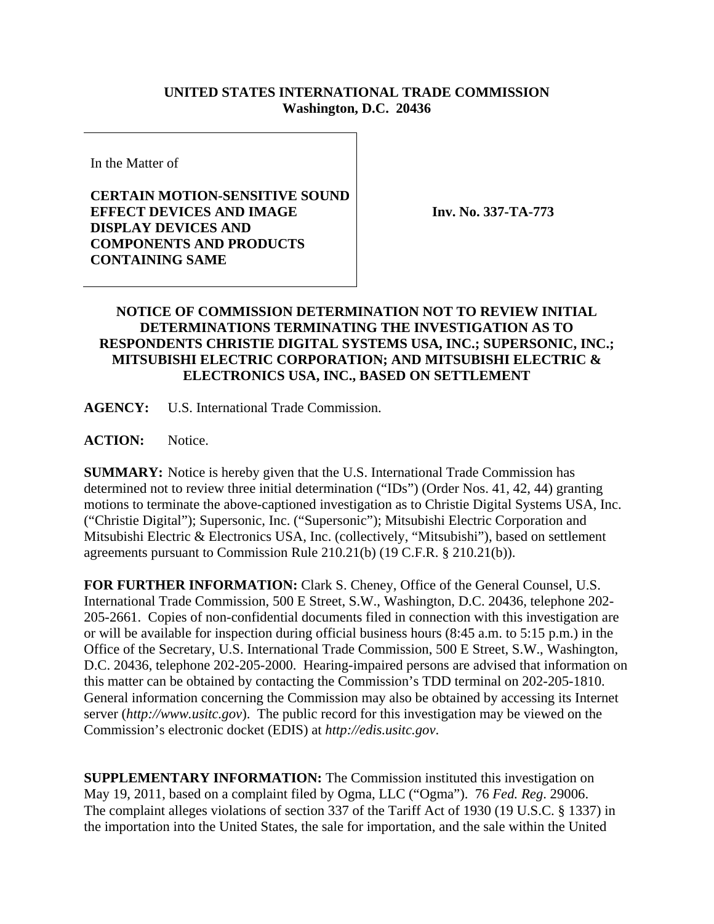## **UNITED STATES INTERNATIONAL TRADE COMMISSION Washington, D.C. 20436**

In the Matter of

## **CERTAIN MOTION-SENSITIVE SOUND EFFECT DEVICES AND IMAGE DISPLAY DEVICES AND COMPONENTS AND PRODUCTS CONTAINING SAME**

**Inv. No. 337-TA-773**

## **NOTICE OF COMMISSION DETERMINATION NOT TO REVIEW INITIAL DETERMINATIONS TERMINATING THE INVESTIGATION AS TO RESPONDENTS CHRISTIE DIGITAL SYSTEMS USA, INC.; SUPERSONIC, INC.; MITSUBISHI ELECTRIC CORPORATION; AND MITSUBISHI ELECTRIC & ELECTRONICS USA, INC., BASED ON SETTLEMENT**

**AGENCY:** U.S. International Trade Commission.

**ACTION:** Notice.

**SUMMARY:** Notice is hereby given that the U.S. International Trade Commission has determined not to review three initial determination ("IDs") (Order Nos. 41, 42, 44) granting motions to terminate the above-captioned investigation as to Christie Digital Systems USA, Inc. ("Christie Digital"); Supersonic, Inc. ("Supersonic"); Mitsubishi Electric Corporation and Mitsubishi Electric & Electronics USA, Inc. (collectively, "Mitsubishi"), based on settlement agreements pursuant to Commission Rule 210.21(b) (19 C.F.R. § 210.21(b)).

**FOR FURTHER INFORMATION:** Clark S. Cheney, Office of the General Counsel, U.S. International Trade Commission, 500 E Street, S.W., Washington, D.C. 20436, telephone 202- 205-2661. Copies of non-confidential documents filed in connection with this investigation are or will be available for inspection during official business hours (8:45 a.m. to 5:15 p.m.) in the Office of the Secretary, U.S. International Trade Commission, 500 E Street, S.W., Washington, D.C. 20436, telephone 202-205-2000. Hearing-impaired persons are advised that information on this matter can be obtained by contacting the Commission's TDD terminal on 202-205-1810. General information concerning the Commission may also be obtained by accessing its Internet server (*http://www.usitc.gov*). The public record for this investigation may be viewed on the Commission's electronic docket (EDIS) at *http://edis.usitc.gov*.

**SUPPLEMENTARY INFORMATION:** The Commission instituted this investigation on May 19, 2011, based on a complaint filed by Ogma, LLC ("Ogma"). 76 *Fed. Reg*. 29006. The complaint alleges violations of section 337 of the Tariff Act of 1930 (19 U.S.C. § 1337) in the importation into the United States, the sale for importation, and the sale within the United